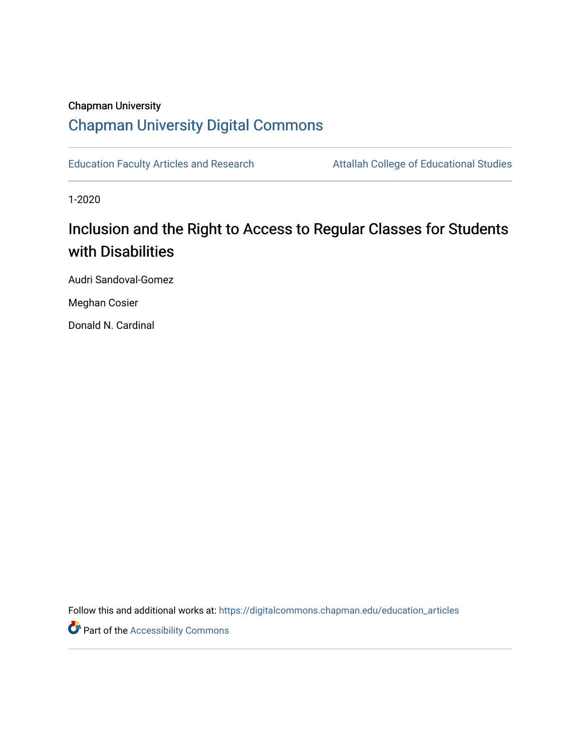## Chapman University [Chapman University Digital Commons](https://digitalcommons.chapman.edu/)

[Education Faculty Articles and Research](https://digitalcommons.chapman.edu/education_articles) Attallah College of Educational Studies

1-2020

# Inclusion and the Right to Access to Regular Classes for Students with Disabilities

Audri Sandoval-Gomez

Meghan Cosier

Donald N. Cardinal

Follow this and additional works at: [https://digitalcommons.chapman.edu/education\\_articles](https://digitalcommons.chapman.edu/education_articles?utm_source=digitalcommons.chapman.edu%2Feducation_articles%2F245&utm_medium=PDF&utm_campaign=PDFCoverPages)

**Part of the Accessibility Commons**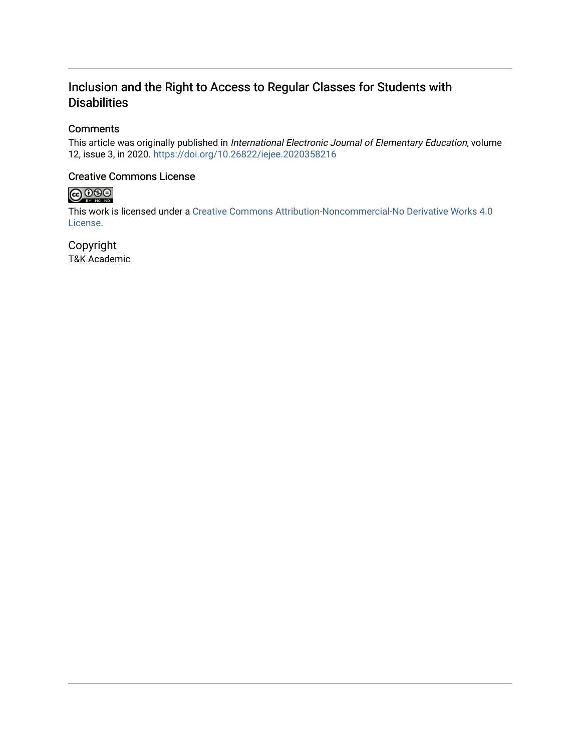## Inclusion and the Right to Access to Regular Classes for Students with **Disabilities**

### **Comments**

This article was originally published in International Electronic Journal of Elementary Education, volume 12, issue 3, in 2020. <https://doi.org/10.26822/iejee.2020358216>

### Creative Commons License



This work is licensed under a [Creative Commons Attribution-Noncommercial-No Derivative Works 4.0](https://creativecommons.org/licenses/by-nc-nd/4.0/) [License](https://creativecommons.org/licenses/by-nc-nd/4.0/).

Copyright T&K Academic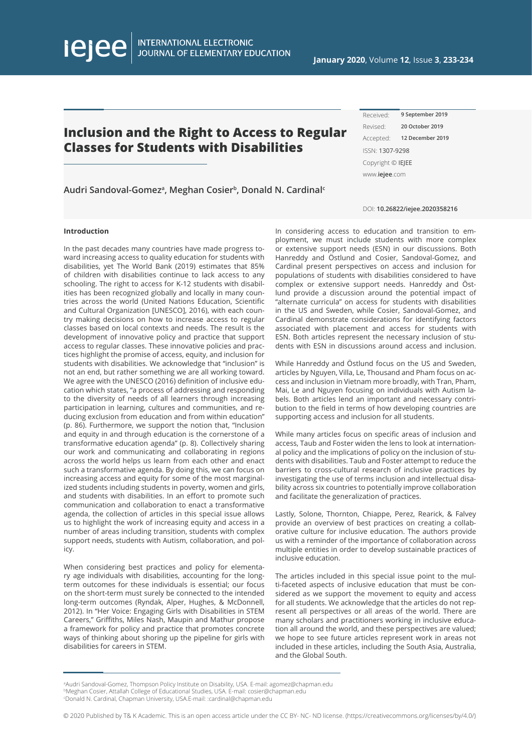INTERNATIONAL ELECTRONIC<br>JOURNAL OF ELEMENTARY EDUCATION

## **Inclusion and the Right to Access to Regular Classes for Students with Disabilities**

**Audri Sandoval-Gomeza, Meghan Cosierb, Donald N. Cardinalc**

| 9 September 2019       |  |
|------------------------|--|
| 20 October 2019        |  |
| 12 December 2019       |  |
| ISSN: 1307-9298        |  |
| Copyright © IEJEE      |  |
| www. <b>iejee</b> .com |  |
|                        |  |

DOI: **10.26822/iejee.2020358216**

#### **Introduction**

lejee

In the past decades many countries have made progress toward increasing access to quality education for students with disabilities, yet The World Bank (2019) estimates that 85% of children with disabilities continue to lack access to any schooling. The right to access for K-12 students with disabilities has been recognized globally and locally in many countries across the world (United Nations Education, Scientific and Cultural Organization [UNESCO], 2016), with each country making decisions on how to increase access to regular classes based on local contexts and needs. The result is the development of innovative policy and practice that support access to regular classes. These innovative policies and practices highlight the promise of access, equity, and inclusion for students with disabilities. We acknowledge that "inclusion" is not an end, but rather something we are all working toward. We agree with the UNESCO (2016) definition of inclusive education which states, "a process of addressing and responding to the diversity of needs of all learners through increasing participation in learning, cultures and communities, and reducing exclusion from education and from within education" (p. 86). Furthermore, we support the notion that, "Inclusion and equity in and through education is the cornerstone of a transformative education agenda" (p. 8). Collectively sharing our work and communicating and collaborating in regions across the world helps us learn from each other and enact such a transformative agenda. By doing this, we can focus on increasing access and equity for some of the most marginalized students including students in poverty, women and girls, and students with disabilities. In an effort to promote such communication and collaboration to enact a transformative agenda, the collection of articles in this special issue allows us to highlight the work of increasing equity and access in a number of areas including transition, students with complex support needs, students with Autism, collaboration, and policy.

When considering best practices and policy for elementary age individuals with disabilities, accounting for the longterm outcomes for these individuals is essential; our focus on the short-term must surely be connected to the intended long-term outcomes (Ryndak, Alper, Hughes, & McDonnell, 2012). In "Her Voice: Engaging Girls with Disabilities in STEM Careers," Griffiths, Miles Nash, Maupin and Mathur propose a framework for policy and practice that promotes concrete ways of thinking about shoring up the pipeline for girls with disabilities for careers in STEM.

In considering access to education and transition to employment, we must include students with more complex or extensive support needs (ESN) in our discussions. Both Hanreddy and Ӧstlund and Cosier, Sandoval-Gomez, and Cardinal present perspectives on access and inclusion for populations of students with disabilities considered to have complex or extensive support needs. Hanreddy and Östlund provide a discussion around the potential impact of "alternate curricula" on access for students with disabilities in the US and Sweden, while Cosier, Sandoval-Gomez, and Cardinal demonstrate considerations for identifying factors associated with placement and access for students with ESN. Both articles represent the necessary inclusion of students with ESN in discussions around access and inclusion.

While Hanreddy and Östlund focus on the US and Sweden, articles by Nguyen, Villa, Le, Thousand and Pham focus on access and inclusion in Vietnam more broadly, with Tran, Pham, Mai, Le and Nguyen focusing on individuals with Autism labels. Both articles lend an important and necessary contribution to the field in terms of how developing countries are supporting access and inclusion for all students.

While many articles focus on specific areas of inclusion and access, Taub and Foster widen the lens to look at international policy and the implications of policy on the inclusion of students with disabilities. Taub and Foster attempt to reduce the barriers to cross-cultural research of inclusive practices by investigating the use of terms inclusion and intellectual disability across six countries to potentially improve collaboration and facilitate the generalization of practices.

Lastly, Solone, Thornton, Chiappe, Perez, Rearick, & Falvey provide an overview of best practices on creating a collaborative culture for inclusive education. The authors provide us with a reminder of the importance of collaboration across multiple entities in order to develop sustainable practices of inclusive education.

The articles included in this special issue point to the multi-faceted aspects of inclusive education that must be considered as we support the movement to equity and access for all students. We acknowledge that the articles do not represent all perspectives or all areas of the world. There are many scholars and practitioners working in inclusive education all around the world, and these perspectives are valued; we hope to see future articles represent work in areas not included in these articles, including the South Asia, Australia, and the Global South.

a Audri Sandoval-Gomez, Thompson Policy Institute on Disability, USA. E-mail: agomez@chapman.edu bMeghan Cosier, Attallah College of Educational Studies, USA. E-mail: cosier@chapman.edu c Donald N. Cardinal, Chapman University, USA.E-mail: :cardinal@chapman.edu

© 2020 Published by T& K Academic. This is an open access article under the CC BY- NC- ND license. (https://creativecommons.org/licenses/by/4.0/)